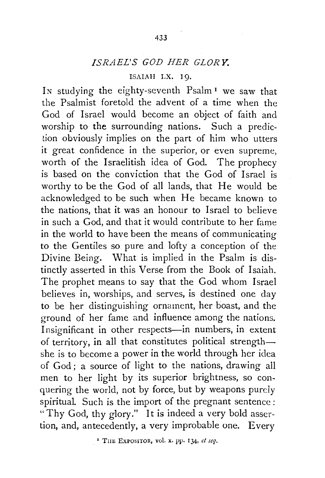## *ISRAEL'S GOD HER GLORY.*

## ISAIAH LX. 19.

In studying the eighty-seventh Psalm<sup>1</sup> we saw that the Psalmist foretold the advent of a time when the God of Israel would become an object of faith and worship to the surrounding nations. Such a prediction obviously implies on the part of him who utters it great confidence in the superior, or even supreme, worth of the Israelitish idea of God. The prophecy is based on the conviction that the God of Israel is worthy to be the God of all lands, that He would be acknowledged to be such when He became known- to the nations, that it was an honour to Israel to believe in such a God, and that it would contribute to her fame in the world to have been the means of communicating to the Gentiles so pure and lofty a conception of the Divine Being. What is implied in the Psalm is distinctly asserted in this Verse from the Book of Isaiah. The prophet means to say that the God whom Israel believes in, worships, and serves, is destined one day to be her distinguishing ornament, her boast, and the ground of her fame and influence among the nations. Insignificant in other respects-in numbers, in extent of territory, in all that constitutes political strengthshe is to become a power in the world through her idea of God; a source of light to the nations, drawing all men to her light by its superior brightness, so conquering the world, not by force, but by weapons purely spiritual. Such is the import of the pregnant sentence: "Thy God, thy glory." It is indeed a very bold assertion, and, antecedently, a very improbable one. Every

' THE EXPOSITOR, vol. x. PP· 134, *et seq.*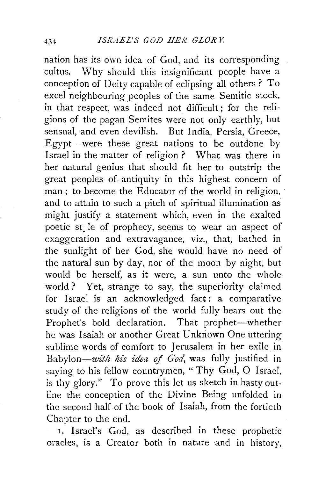nation has its own idea of God, and its corresponding cultus. Why should this insignificant people have a conception of Deity capable of eclipsing all others? To excel neighbouring peoples of the same Semitic stock, in that respect, was indeed not difficult; for the religions of the pagan Semites were not only earthly, but sensual, and even devilish. But India, Persia, Greece, Egypt-were these great nations to be outdone by Israel in the matter of religion ? What was there in her natural genius that should fit her to outstrip the great peoples of antiquity in this highest concern of man; to become the Educator of the world in religion, and to attain to such a pitch of spiritual illumination as might justify a statement which, even in the exalted poetic st; le of prophecy, seems to wear an aspect of exaggeration and extravagance, viz., that, bathed in the sunlight of her God, she would have no need of the natural sun by day, nor of the moon by night, but would be herself, as it were, a sun unto the whole world ? Yet, strange to say, the superiority claimed for Israel is an acknowledged fact: a comparative study of the religions of the world fully bears out the Prophet's bold declaration. That prophet-whether he was Isaiah or another Great Unknown One uttering sublime words of comfort to Jerusalem in her exile in *Babylon-with his idea* of *God,* was fully justified in saying to his fellow countrymen, "Thy God, O Israel, is thy glory." To prove this let us sketch in hasty outline the conception of the Divine Being unfolded in the second half of the book of Isaiah, from the fortieth Chapter to the end.

I. Israel's God, as described in these prophetic oracles, is a Creator both in nature and in history,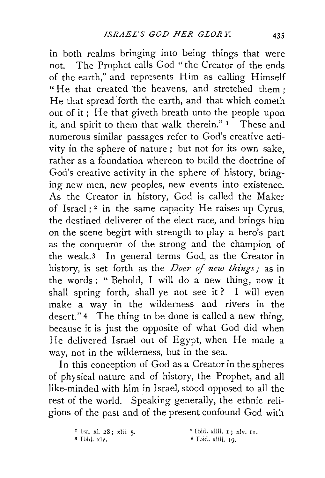in both realms bringing into being things that were not. The Prophet calls God "the Creator of the ends of the earth," and represents Him as calling Himself "He that created the heavens, and stretched them : He that spread forth the earth, and that which cometh out of it; He that giveth breath unto the people upon it, and spirit to them that walk therein." 1 These and numerous similar passages refer to God's creative activity in the sphere of nature ; but not for its own sake, rather as a foundation whereon to build the doctrine of God's creative activity in the sphere of history, bringing new men, new peoples, new events into existence. As the Creator in history, God is called the Maker of Israel;<sup>2</sup> in the same capacity He raises up Cyrus, the destined deliverer of the elect race, and brings him on the scene begirt with strength to play a hero's part as the conqueror of the strong and the champion of the weak.3 In general terms God, as the Creator in history, is set forth as the *Doer of new things*; as in the words : " Behold, I will do a new thing, now it shall spring forth, shall ye not see it ? I will even make a way in the wilderness and rivers in the desert." 4 The thing to be done is called a new thing, because it is just the opposite of what God did when He delivered Israel out of Egypt, when He made a way, not in the wilderness, but in the sea.

In this conception of God as a Creator in the spheres of physical nature and of history, the Prophet, and all like-minded with him in Israel, stood opposed to all the rest of the world. Speaking generally, the ethnic religions of the past and of the present confound God with

 $I<sup>s</sup>$  Isa. xl. 28; xlii. 5.<br>3 Ibid. xlv.

 $2$  Ibid. xliii.  $I$ ; xlv.  $II$ .

• Ibid. xliii, 19.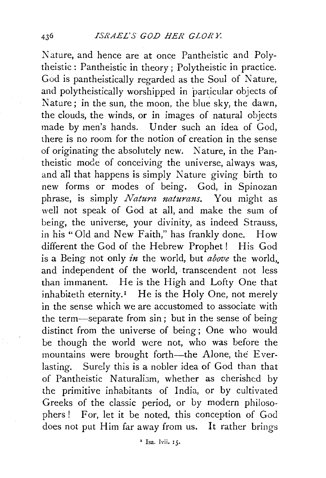Nature, and hence are at once Pantheistic and Polytheistic : Pantheistic in theory ; Polytheistic in practice. God is pantheistically regarded as the Soul of Nature, and polytheistically worshipped in particular objects of Nature; in the sun, the moon, the blue sky, the dawn, the clouds, the winds, or in images of natural objects made by men's hands. Under such an idea of God, there is no room for the notion of creation in the sense of originating the absolutely new. Nature, in the Pantheistic mode of conceiving the universe, always was, and all that happens is simply Nature giving birth to new forms or modes of being. God, in Spinozan phrase, is simply *Natura naturans.* You might as well not speak of God at all, and make the sum of being, the universe, your divinity, as indeed Strauss, in his'' Old and New Faith," has frankly done. How different the God of the Hebrew Prophet! His God is a Being not only *in* the world, but *above* the world,, and independent of the world, transcendent not less than immanent. He is the High and Lofty One that inhabiteth eternity.<sup>1</sup> He is the Holy One, not merely in the sense which we are accustomed to associate with the term-separate from sin ; but in the sense of being distinct from the universe of being; One who would be though the world were not, who was before the mountains were brought forth-the Alone, the Everlasting. Surely this is a nobler idea of God than that of Pantheistic Naturalism, whether as cherished by the primitive inhabitants of India, or by cultivated Greeks of the classic period, or by modern philosophers! For, let it be noted, this conception of God does not put Him far away from us. It rather brings

' Isa. lvii. 15.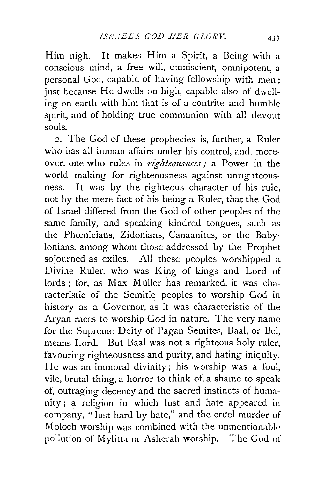Him nigh. It makes Him a Spirit, a Being with a conscious mind, a free will, omniscient, omnipotent, a personal God, capable of having fellowship with men; just because He dwells on high, capable also of dwelling on earth with him that is of a contrite and humble spirit, and of holding true communion with all devout souls.

2. The God of these prophecies is, further, a Ruler who has all human affairs under his control, and, moreover, one who rules in *righteousness*; a Power in the world making for righteousness against unrighteousness. It was by the righteous character of his rule, not by the mere fact of his being a Ruler, that the God of Israel differed from the God of other peoples of the same family, and speaking kindred tongues, such as the Phcenicians, Zidonians, Canaanites, or the Babylonians, among whom those addressed by the Prophet sojourned as exiles. All these peoples worshipped a Divine Ruler, who was King of kings and Lord of lords; for, as Max Müller has remarked, it was characteristic of the Semitic peoples to worship God in history as a Governor, as it was characteristic of the Aryan races to worship God in nature. The very name for the Supreme Deity of Pagan Semites, Baal, or Bel, means Lord. But Baal was not a righteous holy ruler, favouring righteousness and purity, and hating iniquity. He was an immoral divinity; his worship was a foul, vile, brutal thing, a horror to think of, a shame to speak of, outraging decency and the sacred instincts of humanity ; a religion in which lust and hate appeared in company, "lust hard by hate," and the cruel murder of Moloch worship was combined with the unmentionable pollution of Mylitta or Asherah worship. The God of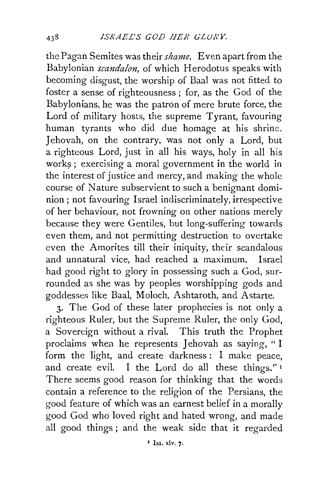the Pagan Semites was their *shame.* Even apart from the Babylonian *scandalon,* of which Herodotus speaks with becoming disgust, the worship of Baal was not fitted to foster a sense of righteousness ; for, as the God of the Babylonians, he was the patron of mere brute force, the Lord of military hosts, the supreme Tyrant, favouring human tyrants who did due homage at his shrine. Jehovah, on the contrary, was not only a Lord, but a righteous Lord, just in all his ways, holy in all his works; exercising a moral government in the world in the interest of justice and mercy, and making the whole course of Nature subservient to such a benignant dominion; not favouring Israel indiscriminately, irrespective of her behaviour, not frowning on other nations merely because they were Gentiles, but long-suffering towards even them, and not permitting destruction to overtake even the Amorites till their iniquity, their scandalous and unnatural vice, had reached a maximum. Israel had good right to glory in possessing such a God, surrounded as she was by peoples worshipping gods and goddesses like Baal, Moloch, Ashtaroth, and Astarte.

3. The God of these later prophecies is not only a righteous Ruler, but the Supreme Ruler, the only God, a Sovereign without a rival. This truth the Prophet proclaims when he represents Jehovah as saying, "I form the light, and create darkness : I make peace, and create evil. I the Lord do all these things." <sup>1</sup> There seems good reason for thinking that the words contain a reference to the religion of the Persians, the good feature of which was an earnest belief in a morally good God who loved right and hated wrong, and made all good things ; and the weak side that it regarded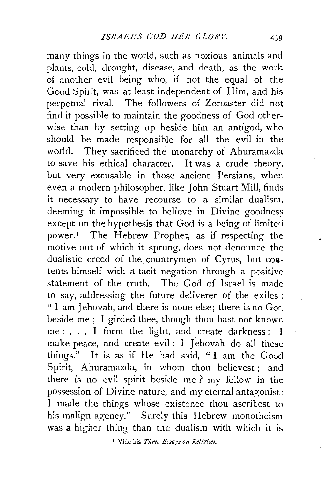many things in the world, such as noxious animals and plants, cold, drought, disease, and death, as the work of another evil being who, if not the equal of the Good Spirit, was at least independent of Him, and his perpetual rival. The followers of Zoroaster did not find it possible to maintain the goodness of God otherwise than by setting up beside him an antigod, who should be made responsible for all the evil in the world. They sacrificed the monarchy of Ahuramazda to save his ethical character. It was a crude theory, but very excusable in those ancient Persians, when even a modern philosopher, like John Stuart Mill, finds it necessary to have recourse to a similar dualism, deeming it impossible to believe in Divine goodness except on the hypothesis that God is a being of limited power.<sup>1</sup> The Hebrew Prophet, as if respecting the motive out of which it sprung, does not denounce the dualistic creed of the countrymen of Cyrus, but contents himself with a tacit negation through a positive statement of the truth. The God of Israel is made to say, addressing the future deliverer of the exiles : " I am Jehovah, and there is none else; there is no God beside me ; I girded thee, though thou hast not known me: ... I form the light, and create darkness: I make peace, and create evil : I Jehovah do all these things." It is as if He had said, " I am the Good Spirit, Ahuramazda, in whom thou believest; and there is no evil spirit beside me ? my fellow in the possession of Divine nature, and my eternal antagonist: I made the things whose existence thou ascribest to his malign agency." Surely this Hebrew monotheism was a higher thing than the dualism with which it is

• Vide his *Three Essays on Rc!i'gion,*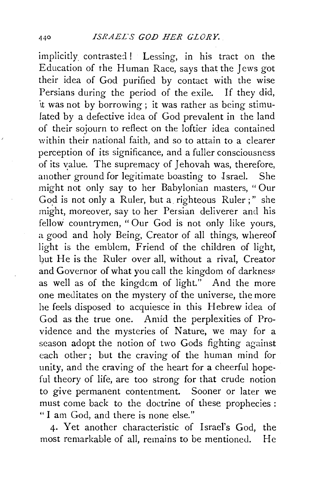implicitly contrasted! Lessing, in his tract on the Education of the Human Race, says that the Jews got their idea of God purified by contact with the wise Persians during the period of the exile. If they did, it was not by borrowing ; it was rather as being stimulated by a defective idea of God prevalent in the land of their sojourn to reflect on the loftier idea contained within their national faith, and so to attain to a clearer perception of its significance, and a fuller consciousness of its value. The supremacy of Jehovah was, therefore, another ground for legitimate boasting to Israel. She might not only say to her Babylonian masters, "Our God is not only a Ruler, but a righteous Ruler;" she might, moreover, say to her Persian deliverer and his fellow countrymen, " Our God is not only like yours, a good and holy Being, Creator of all things, whereof light is the emblem, Friend of the children of light, but He is the Ruler over all, without a rival, Creator and Governor of what you call the kingdom of darkness as well as of the kingdcm of light." And the more one meditates on the mystery of the universe, the more he feels disposed to acquiesce in this Hebrew idea of God as the true one. Amid the perplexities of Providence and the mysteries of Nature, we may for a season adopt the notion of two Gods fighting against each other; but the craving of the human mind for unity, and the craving of the heart for a cheerful hopeful theory of life, are too strong for that crude notion to give permanent contentment. Sooner or later we must come back to the doctrine of these prophecies : " I am God, and there is none else."

4· Yet another characteristic of Israel's God, the most remarkable of all, remains to be mentioned. He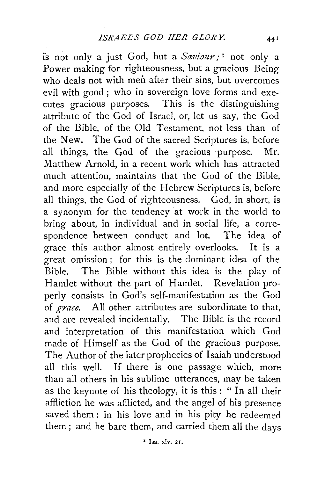is not only a just God, but a *Saviour,·* 1 not only a Power making for righteousness, but a gracious Being who deals not with men after their sins, but overcomes evil with good ; who in sovereign love forms and executes gracious purposes. This is the distinguishing attribute of the God of Israel, or, let us say, the God of the Bible, of the Old Testament, not less than of the New. The God of the sacred Scriptures is, before all things, the God of the gracious purpose. Mr. Matthew Arnold, in a recent work which has attracted much attention, maintains that the God of the Bible, and more especially of the Hebrew Scriptures is, before all things, the God of righteousness. God, in short, is a synonym for the tendency at work in the world to bring about, in individual and in social life, a correspondence between conduct and lot. The idea of grace this author almost entirely overlooks. It is a great omission ; for this is the dominant idea of the Bible. The Bible without this idea is the play of Hamlet without the part of Hamlet. Revelation properly consists in God's self-manifestation as the God of *grace.* All other attributes are subordinate to that, and are revealed incidentally. The Bible is the record and interpretation· of this manifestation which God made of Himself as the God of the gracious purpose. The Author of the later prophecies of Isaiah understood all this well. If there is one passage which, more than all others in his sublime utterances, may be taken as the keynote of his theology, it is this: " In all their affliction he was afflicted, and the angel of his presence saved them: in his love and in his pity he redeemed them; and he bare them, and carried them all the days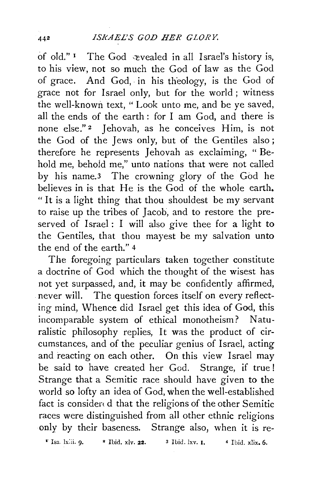of old." I The God  $\triangle$  revealed in all Israel's history is, to his view, not so much the God of law as the God of grace. And God, in his theology, is the God of grace not for Israel only, but for the world ; witness the well-known text, "Look unto me, and be ye saved, all the ends of the earth : for I am God, and there is none else."<sup>2</sup> Jehovah, as he conceives Him, is not the God of the Jews only, but of the Gentiles also; therefore he represents Jehovah as exclaiming, "Behold me, behold me," unto nations that were not called by his name.3 The crowning glory of the God he believes in is that He is the God of the whole earth. "It is a light thing that thou shouldest be my servant to raise up the tribes of Jacob, and to restore the preserved of Israel: I will also give thee for a light to the Gentiles, that thou mayest be my salvation unto the end of the earth." 4

The foregoing particulars taken together constitute a doctrine of God which the thought of the wisest has not yet surpassed, and, it may be confidently affirmed, never will. The question forces itself on every reflecting mind, Whence did Israel get this idea of God, this incomparable system of ethical monotheism? Naturalistic philosophy replies, It was the product of circumstances, and of the peculiar genius of Israel, acting and reacting on each other. On this view Israel may be said to have created her God. Strange, if true ! Strange that a Semitic race should have given to the world so lofty an idea of God, when the well-established fact is consider d that the religions of the other Semitic races were distinguished from all other ethnic religions only by their baseness. Strange also, when it is re-

**r** Isa. lx.ii. 9. **•** Ibid. xly. 22. **•** 3 Ibid. lxv. I. **•** 4 Ibid. xlix. 6.